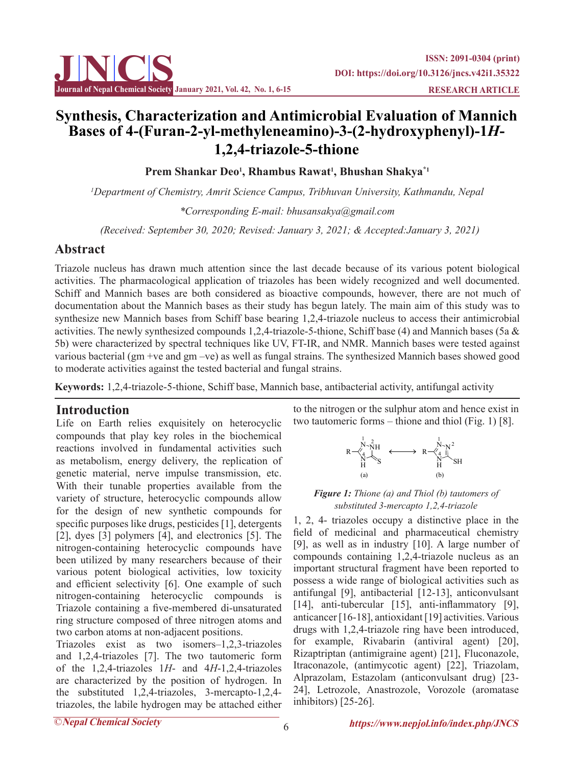

# **Synthesis, Characterization and Antimicrobial Evaluation of Mannich Bases of 4-(Furan-2-yl-methyleneamino)-3-(2-hydroxyphenyl)-1***H***-1,2,4-triazole-5-thione**

**Prem Shankar Deo1 , Rhambus Rawat1 , Bhushan Shakya\*1**

*1 Department of Chemistry, Amrit Science Campus, Tribhuvan University, Kathmandu, Nepal \*Corresponding E-mail: bhusansakya@gmail.com*

 *(Received: September 30, 2020; Revised: January 3, 2021; & Accepted:January 3, 2021)*

# **Abstract**

Triazole nucleus has drawn much attention since the last decade because of its various potent biological activities. The pharmacological application of triazoles has been widely recognized and well documented. Schiff and Mannich bases are both considered as bioactive compounds, however, there are not much of documentation about the Mannich bases as their study has begun lately. The main aim of this study was to synthesize new Mannich bases from Schiff base bearing 1,2,4-triazole nucleus to access their antimicrobial activities. The newly synthesized compounds 1,2,4-triazole-5-thione, Schiff base (4) and Mannich bases (5a & 5b) were characterized by spectral techniques like UV, FT-IR, and NMR. Mannich bases were tested against various bacterial (gm +ve and gm –ve) as well as fungal strains. The synthesized Mannich bases showed good to moderate activities against the tested bacterial and fungal strains.

**Keywords:** 1,2,4-triazole-5-thione, Schiff base, Mannich base, antibacterial activity, antifungal activity

## **Introduction**

Life on Earth relies exquisitely on heterocyclic compounds that play key roles in the biochemical reactions involved in fundamental activities such as metabolism, energy delivery, the replication of genetic material, nerve impulse transmission, etc. With their tunable properties available from the variety of structure, heterocyclic compounds allow for the design of new synthetic compounds for specific purposes like drugs, pesticides [1], detergents [2], dyes [3] polymers [4], and electronics [5]. The nitrogen-containing heterocyclic compounds have been utilized by many researchers because of their various potent biological activities, low toxicity and efficient selectivity [6]. One example of such nitrogen-containing heterocyclic compounds is Triazole containing a five-membered di-unsaturated ring structure composed of three nitrogen atoms and two carbon atoms at non-adjacent positions.

Triazoles exist as two isomers–1,2,3-triazoles and 1,2,4-triazoles [7]. The two tautomeric form of the 1,2,4-triazoles 1*H*- and 4*H*-1,2,4-triazoles are characterized by the position of hydrogen. In the substituted 1,2,4-triazoles, 3-mercapto-1,2,4 triazoles, the labile hydrogen may be attached either to the nitrogen or the sulphur atom and hence exist in two tautomeric forms – thione and thiol (Fig. 1) [8].



## *Figure 1: Thione (a) and Thiol (b) tautomers of substituted 3-mercapto 1,2,4-triazole*

1, 2, 4- triazoles occupy a distinctive place in the field of medicinal and pharmaceutical chemistry [9], as well as in industry [10]. A large number of compounds containing 1,2,4-triazole nucleus as an important structural fragment have been reported to possess a wide range of biological activities such as antifungal [9], antibacterial [12-13], anticonvulsant [14], anti-tubercular [15], anti-inflammatory [9], anticancer [16-18], antioxidant [19] activities. Various drugs with 1,2,4-triazole ring have been introduced, for example, Rivabarin (antiviral agent) [20], Rizaptriptan (antimigraine agent) [21], Fluconazole, Itraconazole, (antimycotic agent) [22], Triazolam, Alprazolam, Estazolam (anticonvulsant drug) [23- 24], Letrozole, Anastrozole, Vorozole (aromatase inhibitors) [25-26].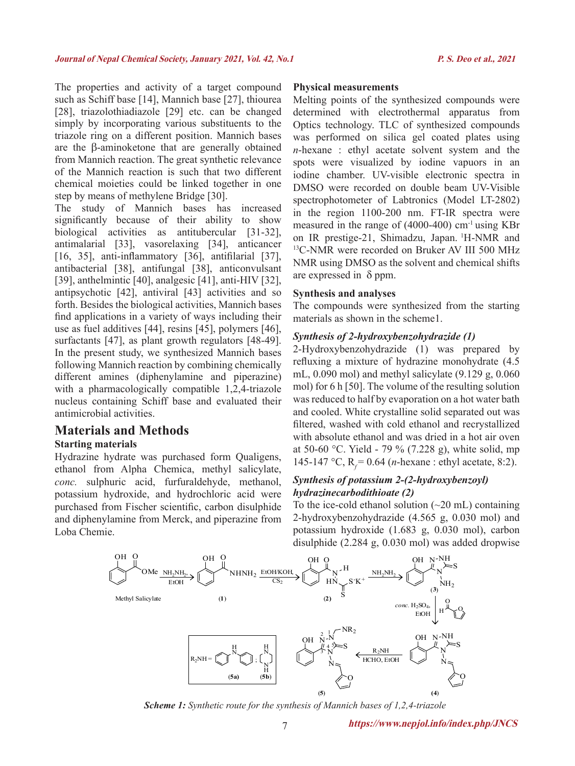The properties and activity of a target compound such as Schiff base [14], Mannich base [27], thiourea [28], triazolothiadiazole [29] etc. can be changed simply by incorporating various substituents to the triazole ring on a different position. Mannich bases are the β-aminoketone that are generally obtained from Mannich reaction. The great synthetic relevance of the Mannich reaction is such that two different chemical moieties could be linked together in one step by means of methylene Bridge [30].

The study of Mannich bases has increased significantly because of their ability to show biological activities as antitubercular [31-32], antimalarial [33], vasorelaxing [34], anticancer [16, 35], anti-inflammatory [36], antifilarial [37], antibacterial [38], antifungal [38], anticonvulsant [39], anthelmintic [40], analgesic [41], anti-HIV [32], antipsychotic [42], antiviral [43] activities and so forth. Besides the biological activities, Mannich bases find applications in a variety of ways including their use as fuel additives [44], resins [45], polymers [46], surfactants [47], as plant growth regulators [48-49]. In the present study, we synthesized Mannich bases following Mannich reaction by combining chemically different amines (diphenylamine and piperazine) with a pharmacologically compatible 1,2,4-triazole nucleus containing Schiff base and evaluated their antimicrobial activities.

# **Materials and Methods**

## **Starting materials**

Hydrazine hydrate was purchased form Qualigens, ethanol from Alpha Chemica, methyl salicylate, *conc.* sulphuric acid, furfuraldehyde, methanol, potassium hydroxide, and hydrochloric acid were purchased from Fischer scientific, carbon disulphide and diphenylamine from Merck, and piperazine from Loba Chemie.

#### **Physical measurements**

Melting points of the synthesized compounds were determined with electrothermal apparatus from Optics technology. TLC of synthesized compounds was performed on silica gel coated plates using *n*-hexane : ethyl acetate solvent system and the spots were visualized by iodine vapuors in an iodine chamber. UV-visible electronic spectra in DMSO were recorded on double beam UV-Visible spectrophotometer of Labtronics (Model LT-2802) in the region 1100-200 nm. FT-IR spectra were measured in the range of  $(4000-400)$  cm<sup>-1</sup> using KBr on IR prestige-21, Shimadzu, Japan. <sup>1</sup>H-NMR and <sup>13</sup>C-NMR were recorded on Bruker AV III 500 MHz NMR using DMSO as the solvent and chemical shifts are expressed in  $\delta$  ppm.

#### **Synthesis and analyses**

The compounds were synthesized from the starting materials as shown in the scheme1.

## *Synthesis of 2-hydroxybenzohydrazide (1)*

2-Hydroxybenzohydrazide (1) was prepared by refluxing a mixture of hydrazine monohydrate (4.5 mL, 0.090 mol) and methyl salicylate (9.129 g, 0.060 mol) for 6 h [50]. The volume of the resulting solution was reduced to half by evaporation on a hot water bath and cooled. White crystalline solid separated out was filtered, washed with cold ethanol and recrystallized with absolute ethanol and was dried in a hot air oven at 50-60 °C. Yield - 79 % (7.228 g), white solid, mp 145-147 °C, R<sub>f</sub> = 0.64 (*n*-hexane : ethyl acetate, 8:2).

## *Synthesis of potassium 2-(2-hydroxybenzoyl) hydrazinecarbodithioate (2)*

To the ice-cold ethanol solution  $(\sim 20 \text{ mL})$  containing 2-hydroxybenzohydrazide (4.565 g, 0.030 mol) and potassium hydroxide (1.683 g, 0.030 mol), carbon disulphide (2.284 g, 0.030 mol) was added dropwise



*Scheme 1: Synthetic route for the synthesis of Mannich bases of 1,2,4-triazole*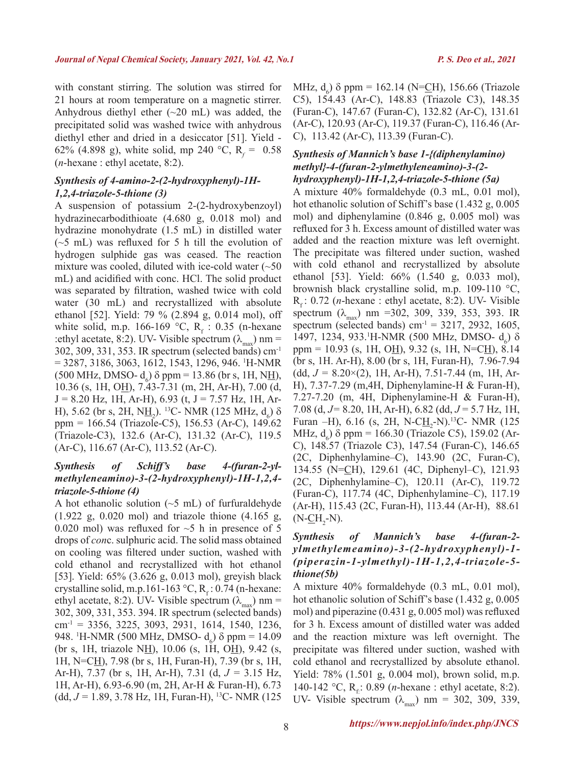with constant stirring. The solution was stirred for 21 hours at room temperature on a magnetic stirrer. Anhydrous diethyl ether (~20 mL) was added, the precipitated solid was washed twice with anhydrous diethyl ether and dried in a desiccator [51]. Yield - 62% (4.898 g), white solid, mp 240 °C,  $R_f = 0.58$ (*n*-hexane : ethyl acetate, 8:2).

#### *Synthesis of 4-amino-2-(2-hydroxyphenyl)-1H-1,2,4-triazole-5-thione (3)*

A suspension of potassium 2-(2-hydroxybenzoyl) hydrazinecarbodithioate (4.680 g, 0.018 mol) and hydrazine monohydrate (1.5 mL) in distilled water  $(\sim 5 \text{ mL})$  was refluxed for 5 h till the evolution of hydrogen sulphide gas was ceased. The reaction mixture was cooled, diluted with ice-cold water  $(-50$ mL) and acidified with conc. HCl. The solid product was separated by filtration, washed twice with cold water (30 mL) and recrystallized with absolute ethanol [52]. Yield: 79 % (2.894 g, 0.014 mol), off white solid, m.p.  $166-169$  °C, R<sub>f</sub>: 0.35 (n-hexane :ethyl acetate, 8:2). UV- Visible spectrum  $(\lambda_{\text{max}})$  nm = 302, 309, 331, 353. IR spectrum (selected bands) cm-1 = 3287, 3186, 3063, 1612, 1543, 1296, 946. 1 H-NMR  $(500 \text{ MHz}, \text{DMSO- d}_6) \delta \text{ ppm} = 13.86 \text{ (br s, 1H, NH)},$ 10.36 (s, 1H, OH), 7.43-7.31 (m, 2H, Ar-H), 7.00 (d,  $J = 8.20$  Hz, 1H, Ar-H), 6.93 (t,  $J = 7.57$  Hz, 1H, Ar-H), 5.62 (br s, 2H, N<u>H<sub>2</sub></u>).<sup>13</sup>C- NMR (125 MHz, d<sub>6</sub>) δ ppm = 166.54 (Triazole-C5), 156.53 (Ar-C), 149.62 (Triazole-C3), 132.6 (Ar-C), 131.32 (Ar-C), 119.5 (Ar-C), 116.67 (Ar-C), 113.52 (Ar-C).

## *Synthesis of Schiff's base 4-(furan-2-ylmethyleneamino)-3-(2-hydroxyphenyl)-1H-1,2,4 triazole-5-thione (4)*

A hot ethanolic solution  $(\sim 5 \text{ mL})$  of furfuraldehyde (1.922 g, 0.020 mol) and triazole thione (4.165 g, 0.020 mol) was refluxed for  $\sim$ 5 h in presence of 5 drops of *con*c. sulphuric acid. The solid mass obtained on cooling was filtered under suction, washed with cold ethanol and recrystallized with hot ethanol [53]. Yield: 65% (3.626 g, 0.013 mol), greyish black crystalline solid, m.p.161-163 °C,  $R_f$ : 0.74 (n-hexane: ethyl acetate, 8:2). UV- Visible spectrum  $(\lambda_{\text{max}})$  nm = 302, 309, 331, 353. 394. IR spectrum (selected bands)  $cm^{-1}$  = 3356, 3225, 3093, 2931, 1614, 1540, 1236, 948. <sup>1</sup>H-NMR (500 MHz, DMSO- d<sub>6</sub>) δ ppm = 14.09 (br s, 1H, triazole N<u>H</u>), 10.06 (s, 1H, OH), 9.42 (s, 1H, N=CH), 7.98 (br s, 1H, Furan-H), 7.39 (br s, 1H, Ar-H), 7.37 (br s, 1H, Ar-H), 7.31 (d, *J =* 3.15 Hz, 1H, Ar-H), 6.93-6.90 (m, 2H, Ar-H & Furan-H), 6.73 (dd, *J =* 1.89, 3.78 Hz, 1H, Furan-H), 13C- NMR (125

MHz,  $d_6$ ) δ ppm = 162.14 (N=<u>C</u>H), 156.66 (Triazole C5), 154.43 (Ar-C), 148.83 (Triazole C3), 148.35 (Furan-C), 147.67 (Furan-C), 132.82 (Ar-C), 131.61 (Ar-C), 120.93 (Ar-C), 119.37 (Furan-C), 116.46 (Ar-C), 113.42 (Ar-C), 113.39 (Furan-C).

## *Synthesis of Mannich's base 1-{(diphenylamino) methyl}-4-(furan-2-ylmethyleneamino)-3-(2 hydroxyphenyl)-1H-1,2,4-triazole-5-thione (5a)*

A mixture 40% formaldehyde (0.3 mL, 0.01 mol), hot ethanolic solution of Schiff's base (1.432 g, 0.005 mol) and diphenylamine (0.846 g, 0.005 mol) was refluxed for 3 h. Excess amount of distilled water was added and the reaction mixture was left overnight. The precipitate was filtered under suction, washed with cold ethanol and recrystallized by absolute ethanol [53]. Yield: 66% (1.540 g, 0.033 mol), brownish black crystalline solid, m.p. 109-110 °C, R<sub>r</sub>: 0.72 (*n*-hexane : ethyl acetate, 8:2). UV- Visible spectrum  $(\lambda_{\text{max}})$  nm =302, 309, 339, 353, 393. IR spectrum (selected bands) cm<sup>-1</sup> = 3217, 2932, 1605, 1497, 1234, 933. H-NMR (500 MHz, DMSO- d<sub>6</sub>) δ ppm = 10.93 (s, 1H, OH), 9.32 (s, 1H, N=CH), 8.14 (br s, 1H. Ar-H), 8.00 (br s, 1H, Furan-H), 7.96-7.94 (dd, *J =* 8.20×(2), 1H, Ar-H), 7.51-7.44 (m, 1H, Ar-H), 7.37-7.29 (m,4H, Diphenylamine-H & Furan-H), 7.27-7.20 (m, 4H, Diphenylamine-H & Furan-H), 7.08 (d, *J=* 8.20, 1H, Ar-H), 6.82 (dd, *J* = 5.7 Hz, 1H, Furan –H), 6.16 (s, 2H, N-C $_{12}^{\text{H}}$ -N).<sup>13</sup>C- NMR (125 MHz,  $d_6$ )  $\delta$  ppm = 166.30 (Triazole C5), 159.02 (Ar-C), 148.57 (Triazole C3), 147.54 (Furan-C), 146.65 (2C, Diphenhylamine–C), 143.90 (2C, Furan-C), 134.55 (N=CH), 129.61 (4C, Diphenyl–C), 121.93 (2C, Diphenhylamine–C), 120.11 (Ar-C), 119.72 (Furan-C), 117.74 (4C, Diphenhylamine–C), 117.19 (Ar-H), 115.43 (2C, Furan-H), 113.44 (Ar-H), 88.61  $(N$ - $CH_2$ -N).

## *Synthesis of Mannich's base 4-(furan-2 ylmethylemeamino)-3-(2-hydroxyphenyl)-1- (piperazin-1-ylmethyl)-1H-1,2,4-triazole-5 thione(5b)*

A mixture 40% formaldehyde (0.3 mL, 0.01 mol), hot ethanolic solution of Schiff's base (1.432 g, 0.005 mol) and piperazine (0.431 g, 0.005 mol) was refluxed for 3 h. Excess amount of distilled water was added and the reaction mixture was left overnight. The precipitate was filtered under suction, washed with cold ethanol and recrystallized by absolute ethanol. Yield: 78% (1.501 g, 0.004 mol), brown solid, m.p. 140-142 °C, R<sub>f:</sub>: 0.89 (*n*-hexane : ethyl acetate, 8:2). UV- Visible spectrum  $(\lambda_{\text{max}})$  nm = 302, 309, 339,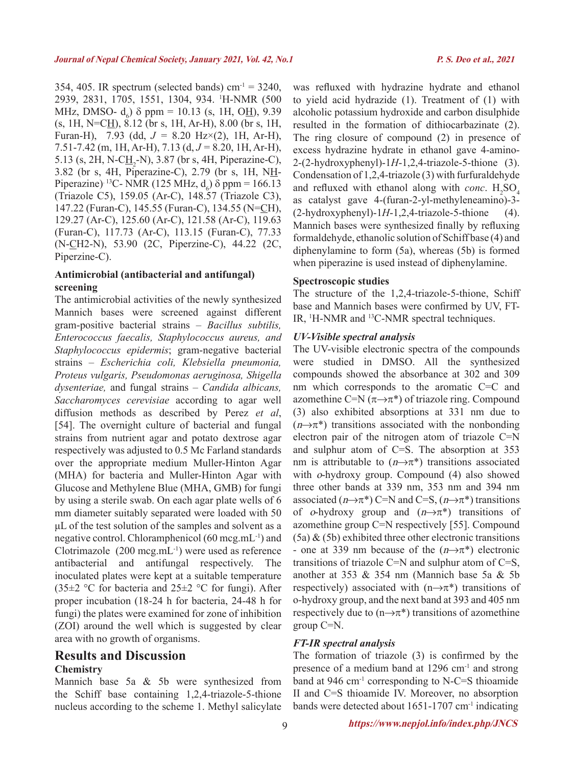354, 405. IR spectrum (selected bands) cm<sup>-1</sup> =  $3240$ , 2939, 2831, 1705, 1551, 1304, 934. 1 H-NMR (500 MHz, DMSO-  $d_6$ )  $\delta$  ppm = 10.13 (s, 1H, O<u>H</u>), 9.39  $(s, 1H, N=CH), 8.12$  (br s, 1H, Ar-H), 8.00 (br s, 1H, Furan-H), 7.93 (dd, *J =* 8.20 Hz×(2), 1H, Ar-H), 7.51-7.42 (m, 1H, Ar-H), 7.13 (d, *J =* 8.20, 1H, Ar-H), 5.13 (s, 2H, N-C $\underline{H}_2$ -N), 3.87 (br s, 4H, Piperazine-C), 3.82 (br s, 4H, Piperazine-C), 2.79 (br s, 1H, NH-Piperazine)<sup>13</sup>C- NMR (125 MHz,  $d_6$ )  $\delta$  ppm = 166.13 (Triazole C5), 159.05 (Ar-C), 148.57 (Triazole C3), 147.22 (Furan-C), 145.55 (Furan-C), 134.55 (N=CH), 129.27 (Ar-C), 125.60 (Ar-C), 121.58 (Ar-C), 119.63 (Furan-C), 117.73 (Ar-C), 113.15 (Furan-C), 77.33 (N-CH2-N), 53.90 (2C, Piperzine-C), 44.22 (2C, Piperzine-C).

### **Antimicrobial (antibacterial and antifungal) screening**

The antimicrobial activities of the newly synthesized Mannich bases were screened against different gram-positive bacterial strains – *Bacillus subtilis, Enterococcus faecalis, Staphylococcus aureus, and Staphylococcus epidermis*; gram-negative bacterial strains – *Escherichia coli, Klebsiella pneumonia, Proteus vulgaris, Pseudomonas aeruginosa, Shigella dysenteriae,* and fungal strains – *Candida albicans, Saccharomyces cerevisiae* according to agar well diffusion methods as described by Perez *et al*, [54]. The overnight culture of bacterial and fungal strains from nutrient agar and potato dextrose agar respectively was adjusted to 0.5 Mc Farland standards over the appropriate medium Muller-Hinton Agar (MHA) for bacteria and Muller-Hinton Agar with Glucose and Methylene Blue (MHA, GMB) for fungi by using a sterile swab. On each agar plate wells of 6 mm diameter suitably separated were loaded with 50 μL of the test solution of the samples and solvent as a negative control. Chloramphenicol (60 mcg.mL-1) and Clotrimazole  $(200 \text{ mcg.mL}^{-1})$  were used as reference antibacterial and antifungal respectively. The inoculated plates were kept at a suitable temperature  $(35\pm2$  °C for bacteria and  $25\pm2$  °C for fungi). After proper incubation (18-24 h for bacteria, 24-48 h for fungi) the plates were examined for zone of inhibition (ZOI) around the well which is suggested by clear area with no growth of organisms.

## **Results and Discussion Chemistry**

Mannich base 5a & 5b were synthesized from the Schiff base containing 1,2,4-triazole-5-thione nucleus according to the scheme 1. Methyl salicylate was refluxed with hydrazine hydrate and ethanol to yield acid hydrazide (1). Treatment of (1) with alcoholic potassium hydroxide and carbon disulphide resulted in the formation of dithiocarbazinate (2). The ring closure of compound (2) in presence of excess hydrazine hydrate in ethanol gave 4-amino-2-(2-hydroxyphenyl)-1*H*-1,2,4-triazole-5-thione (3). Condensation of 1,2,4-triazole (3) with furfuraldehyde and refluxed with ethanol along with *conc*.  $H_2SO_4$ as catalyst gave 4-(furan-2-yl-methyleneamino)-3-  $(2-hydroxyphenyl)-1H-1,2,4-triazole-5-thione$  (4). Mannich bases were synthesized finally by refluxing formaldehyde, ethanolic solution of Schiff base (4) and diphenylamine to form (5a), whereas (5b) is formed when piperazine is used instead of diphenylamine.

#### **Spectroscopic studies**

The structure of the 1,2,4-triazole-5-thione, Schiff base and Mannich bases were confirmed by UV, FT-IR, <sup>1</sup>H-NMR and <sup>13</sup>C-NMR spectral techniques.

#### *UV-Visible spectral analysis*

The UV-visible electronic spectra of the compounds were studied in DMSO. All the synthesized compounds showed the absorbance at 302 and 309 nm which corresponds to the aromatic C=C and azomethine C=N  $(\pi \rightarrow \pi^*)$  of triazole ring. Compound (3) also exhibited absorptions at 331 nm due to  $(n \rightarrow \pi^*)$  transitions associated with the nonbonding electron pair of the nitrogen atom of triazole C=N and sulphur atom of C=S. The absorption at 353 nm is attributable to  $(n\rightarrow \pi^*)$  transitions associated with *o*-hydroxy group. Compound (4) also showed three other bands at 339 nm, 353 nm and 394 nm associated  $(n\rightarrow \pi^*)$  C=N and C=S,  $(n\rightarrow \pi^*)$  transitions of o-hydroxy group and  $(n\rightarrow \pi^*)$  transitions of azomethine group C=N respectively [55]. Compound  $(5a)$  &  $(5b)$  exhibited three other electronic transitions - one at 339 nm because of the  $(n\rightarrow \pi^*)$  electronic transitions of triazole C=N and sulphur atom of C=S, another at 353 & 354 nm (Mannich base 5a & 5b respectively) associated with  $(n \rightarrow \pi^*)$  transitions of o-hydroxy group, and the next band at 393 and 405 nm respectively due to  $(n\rightarrow \pi^*)$  transitions of azomethine group C=N.

#### *FT-IR spectral analysis*

The formation of triazole (3) is confirmed by the presence of a medium band at 1296 cm-1 and strong band at  $946 \text{ cm}^{-1}$  corresponding to N-C=S thioamide II and C=S thioamide IV. Moreover, no absorption bands were detected about 1651-1707 cm<sup>-1</sup> indicating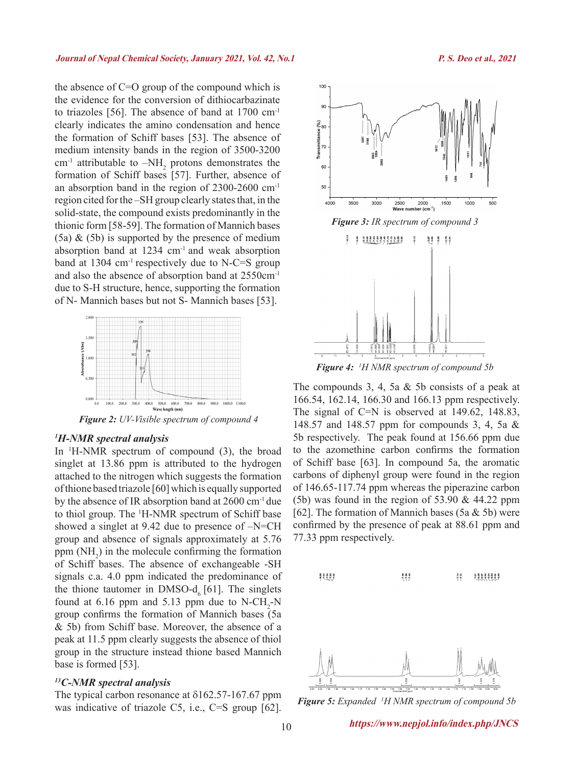the absence of C=O group of the compound which is the evidence for the conversion of dithiocarbazinate to triazoles [56]. The absence of band at 1700 cm-1 clearly indicates the amino condensation and hence the formation of Schiff bases [53]. The absence of medium intensity bands in the region of 3500-3200 cm<sup>-1</sup> attributable to  $-NH_2$  protons demonstrates the formation of Schiff bases [57]. Further, absence of an absorption band in the region of 2300-2600 cm-1 region cited for the –SH group clearly states that, in the solid-state, the compound exists predominantly in the thionic form [58-59]. The formation of Mannich bases  $(5a)$  &  $(5b)$  is supported by the presence of medium absorption band at 1234 cm-1 and weak absorption band at 1304 cm-1 respectively due to N-C=S group and also the absence of absorption band at 2550cm-1 due to S-H structure, hence, supporting the formation of N- Mannich bases but not S- Mannich bases [53].



*Figure 2: UV-Visible spectrum of compound 4*

#### *1 H-NMR spectral analysis*

In <sup>1</sup> H-NMR spectrum of compound (3), the broad singlet at 13.86 ppm is attributed to the hydrogen attached to the nitrogen which suggests the formation of thione based triazole [60] which is equally supported by the absence of IR absorption band at 2600 cm-1 due to thiol group. The 1 H-NMR spectrum of Schiff base showed a singlet at 9.42 due to presence of –N=CH group and absence of signals approximately at 5.76 ppm  $(NH_2)$  in the molecule confirming the formation of Schiff bases. The absence of exchangeable -SH signals c.a. 4.0 ppm indicated the predominance of the thione tautomer in DMSO-d<sub> $<sub>c</sub>$  [61]. The singlets</sub></sub> found at 6.16 ppm and 5.13 ppm due to  $N\text{-}CH_2\text{-}N$ group confirms the formation of Mannich bases (5a & 5b) from Schiff base. Moreover, the absence of a peak at 11.5 ppm clearly suggests the absence of thiol group in the structure instead thione based Mannich base is formed [53].

#### *13C-NMR spectral analysis*

The typical carbon resonance at δ162.57-167.67 ppm was indicative of triazole C5, i.e., C=S group [62].



*Figure 4: <sup>1</sup> H NMR spectrum of compound 5b*

The compounds 3, 4, 5a & 5b consists of a peak at 166.54, 162.14, 166.30 and 166.13 ppm respectively. The signal of C=N is observed at 149.62, 148.83, 148.57 and 148.57 ppm for compounds 3, 4, 5a & 5b respectively. The peak found at 156.66 ppm due to the azomethine carbon confirms the formation of Schiff base [63]. In compound 5a, the aromatic carbons of diphenyl group were found in the region of 146.65-117.74 ppm whereas the piperazine carbon (5b) was found in the region of 53.90  $& 44.22$  ppm [62]. The formation of Mannich bases (5a  $&$  5b) were confirmed by the presence of peak at 88.61 ppm and 77.33 ppm respectively.



*Figure 5: Expanded 1 H NMR spectrum of compound 5b*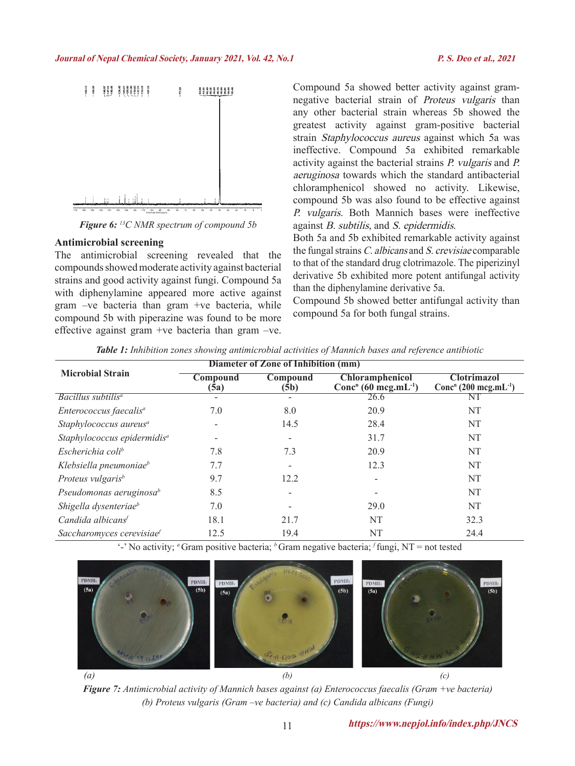

*Figure 6: 13C NMR spectrum of compound 5b*

#### **Antimicrobial screening**

The antimicrobial screening revealed that the compounds showed moderate activity against bacterial strains and good activity against fungi. Compound 5a with diphenylamine appeared more active against gram –ve bacteria than gram +ve bacteria, while compound 5b with piperazine was found to be more effective against gram +ve bacteria than gram –ve.

Compound 5a showed better activity against gramnegative bacterial strain of Proteus vulgaris than any other bacterial strain whereas 5b showed the greatest activity against gram-positive bacterial strain Staphylococcus aureus against which 5a was ineffective. Compound 5a exhibited remarkable activity against the bacterial strains P. vulgaris and P. aeruginosa towards which the standard antibacterial chloramphenicol showed no activity. Likewise, compound 5b was also found to be effective against P. vulgaris. Both Mannich bases were ineffective against B. subtilis, and S. epidermidis.

Both 5a and 5b exhibited remarkable activity against the fungal strains C. albicans and S. crevisiae comparable to that of the standard drug clotrimazole. The piperizinyl derivative 5b exhibited more potent antifungal activity than the diphenylamine derivative 5a.

Compound 5b showed better antifungal activity than compound 5a for both fungal strains.

|                                         | Diameter of Zone of Inhibition (mm) |                  |                                                                        |                                                                     |
|-----------------------------------------|-------------------------------------|------------------|------------------------------------------------------------------------|---------------------------------------------------------------------|
| <b>Microbial Strain</b>                 | Compound<br>(5a)                    | Compound<br>(5b) | <b>Chloramphenicol</b><br>Conc <sup>n</sup> (60 mcg.mL <sup>-1</sup> ) | <b>Clotrimazol</b><br>Conc <sup>n</sup> (200 mcg.mL <sup>-1</sup> ) |
| Bacillus subtilis <sup>a</sup>          |                                     |                  | 26.6                                                                   | Νl                                                                  |
| Enterococcus faecalis <sup>a</sup>      | 7.0                                 | 8.0              | 20.9                                                                   | NT                                                                  |
| Staphylococcus aureus <sup>a</sup>      | -                                   | 14.5             | 28.4                                                                   | NT                                                                  |
| Staphylococcus epidermidis <sup>a</sup> |                                     |                  | 31.7                                                                   | NT                                                                  |
| Escherichia coli <sup>b</sup>           | 7.8                                 | 7.3              | 20.9                                                                   | NT                                                                  |
| Klebsiella pneumoniae <sup>b</sup>      | 7.7                                 |                  | 12.3                                                                   | NT                                                                  |
| Proteus vulgaris <sup>b</sup>           | 9.7                                 | 12.2             |                                                                        | NT                                                                  |
| Pseudomonas aeruginosa $\phi$           | 8.5                                 |                  |                                                                        | NT                                                                  |
| Shigella dysenteriae <sup>b</sup>       | 7.0                                 |                  | 29.0                                                                   | NT                                                                  |
| Candida albicans <sup>f</sup>           | 18.1                                | 21.7             | NT                                                                     | 32.3                                                                |
| Saccharomyces cerevisiae                | 12.5                                | 19.4             | NT                                                                     | 24.4                                                                |

*Table 1: Inhibition zones showing antimicrobial activities of Mannich bases and reference antibiotic*

'-' No activity; <sup>*a*</sup> Gram positive bacteria; <sup>*b*</sup> Gram negative bacteria; *f* fungi, NT = not tested



*Figure 7: Antimicrobial activity of Mannich bases against (a) Enterococcus faecalis (Gram +ve bacteria) (b) Proteus vulgaris (Gram –ve bacteria) and (c) Candida albicans (Fungi)*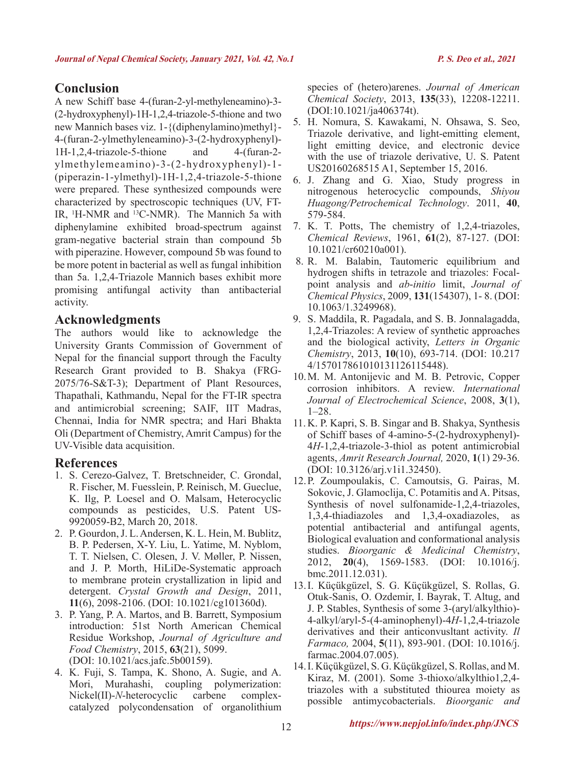# **Conclusion**

A new Schiff base 4-(furan-2-yl-methyleneamino)-3- (2-hydroxyphenyl)-1H-1,2,4-triazole-5-thione and two new Mannich bases viz. 1-{(diphenylamino)methyl}- 4-(furan-2-ylmethyleneamino)-3-(2-hydroxyphenyl)- 1H-1,2,4-triazole-5-thione and 4-(furan-2 ylmethylemeamino)-3-(2-hydroxyphenyl)-1- (piperazin-1-ylmethyl)-1H-1,2,4-triazole-5-thione were prepared. These synthesized compounds were characterized by spectroscopic techniques (UV, FT-IR, <sup>1</sup> H-NMR and 13C-NMR). The Mannich 5a with diphenylamine exhibited broad-spectrum against gram-negative bacterial strain than compound 5b with piperazine. However, compound 5b was found to be more potent in bacterial as well as fungal inhibition than 5a. 1,2,4-Triazole Mannich bases exhibit more promising antifungal activity than antibacterial activity.

## **Acknowledgments**

The authors would like to acknowledge the University Grants Commission of Government of Nepal for the financial support through the Faculty Research Grant provided to B. Shakya (FRG-2075/76-S&T-3); Department of Plant Resources, Thapathali, Kathmandu, Nepal for the FT-IR spectra and antimicrobial screening; SAIF, IIT Madras, Chennai, India for NMR spectra; and Hari Bhakta Oli (Department of Chemistry, Amrit Campus) for the UV-Visible data acquisition.

# **References**

- 1. S. Cerezo-Galvez, T. Bretschneider, C. Grondal, R. Fischer, M. Fuesslein, P. Reinisch, M. Gueclue, K. Ilg, P. Loesel and O. Malsam, Heterocyclic compounds as pesticides, U.S. Patent US-9920059-B2, March 20, 2018.
- 2. P. Gourdon, J. L. Andersen, K. L. Hein, M. Bublitz, B. P. Pedersen, X-Y. Liu, L. Yatime, M. Nyblom, T. T. Nielsen, C. Olesen, J. V. Møller, P. Nissen, and J. P. Morth, HiLiDe-Systematic approach to membrane protein crystallization in lipid and detergent. *Crystal Growth and Design*, 2011, **11**(6), 2098-2106. (DOI: 10.1021/cg101360d).
- 3. P. Yang, P. A. Martos, and B. Barrett, Symposium introduction: 51st North American Chemical Residue Workshop, *Journal of Agriculture and Food Chemistry*, 2015, **63**(21), 5099. (DOI: 10.1021/acs.jafc.5b00159).
- 4. K. Fuji, S. Tampa, K. Shono, A. Sugie, and A. Mori, Murahashi, coupling polymerization:<br>Nickel(II)-N-heterocyclic carbene complex-Nickel(II)-*N*-heterocyclic carbene catalyzed polycondensation of organolithium

species of (hetero)arenes. *Journal of American Chemical Society*, 2013, **135**(33), 12208-12211. (DOI:10.1021/ja406374t).

- 5. H. Nomura, S. Kawakami, N. Ohsawa, S. Seo, Triazole derivative, and light-emitting element, light emitting device, and electronic device with the use of triazole derivative, U. S. Patent US20160268515 A1, September 15, 2016.
- 6. J. Zhang and G. Xiao, Study progress in nitrogenous heterocyclic compounds, *Shiyou Huagong/Petrochemical Technology*. 2011, **40**, 579-584.
- 7. K. T. Potts, The chemistry of 1,2,4-triazoles, *Chemical Reviews*, 1961, **61**(2), 87-127. (DOI: 10.1021/cr60210a001).
- 8. R. M. Balabin, Tautomeric equilibrium and hydrogen shifts in tetrazole and triazoles: Focalpoint analysis and *ab*-*initio* limit, *Journal of Chemical Physics*, 2009, **131**(154307), 1- 8. (DOI: 10.1063/1.3249968).
- 9. S. Maddila, R. Pagadala, and S. B. Jonnalagadda, 1,2,4-Triazoles: A review of synthetic approaches and the biological activity, *Letters in Organic Chemistry*, 2013, **10**(10), 693-714. (DOI: 10.217 4/157017861010131126115448).
- 10.M. M. Antonijevic and M. B. Petrovic, Copper corrosion inhibitors. A review. *International Journal of Electrochemical Science*, 2008, **3**(1), 1–28.
- 11. K. P. Kapri, S. B. Singar and B. Shakya, Synthesis of Schiff bases of 4-amino-5-(2-hydroxyphenyl)- 4*H*-1,2,4-triazole-3-thiol as potent antimicrobial agents, *Amrit Research Journal,* 2020, **1**(1) 29-36. (DOI: 10.3126/arj.v1i1.32450).
- 12.P. Zoumpoulakis, C. Camoutsis, G. Pairas, M. Sokovic, J. Glamoclija, C. Potamitis and A. Pitsas, Synthesis of novel sulfonamide-1,2,4-triazoles, 1,3,4-thiadiazoles and 1,3,4-oxadiazoles, as potential antibacterial and antifungal agents, Biological evaluation and conformational analysis studies. *Bioorganic & Medicinal Chemistry*, 2012, **20**(4), 1569-1583. (DOI: 10.1016/j. bmc.2011.12.031).
- 13.I. Küçükgüzel, S. G. Küçükgüzel, S. Rollas, G. Otuk-Sanis, O. Ozdemir, I. Bayrak, T. Altug, and J. P. Stables, Synthesis of some 3-(aryl/alkylthio)- 4-alkyl/aryl-5-(4-aminophenyl)-4*H*-1,2,4-triazole derivatives and their anticonvusltant activity. *Il Farmaco,* 2004, **5**(11), 893-901. (DOI: 10.1016/j. farmac.2004.07.005).
- 14.I. Küçükgüzel, S. G. Küçükgüzel, S. Rollas, and M. Kiraz, M. (2001). Some 3-thioxo/alkylthio1,2,4 triazoles with a substituted thiourea moiety as possible antimycobacterials. *Bioorganic and*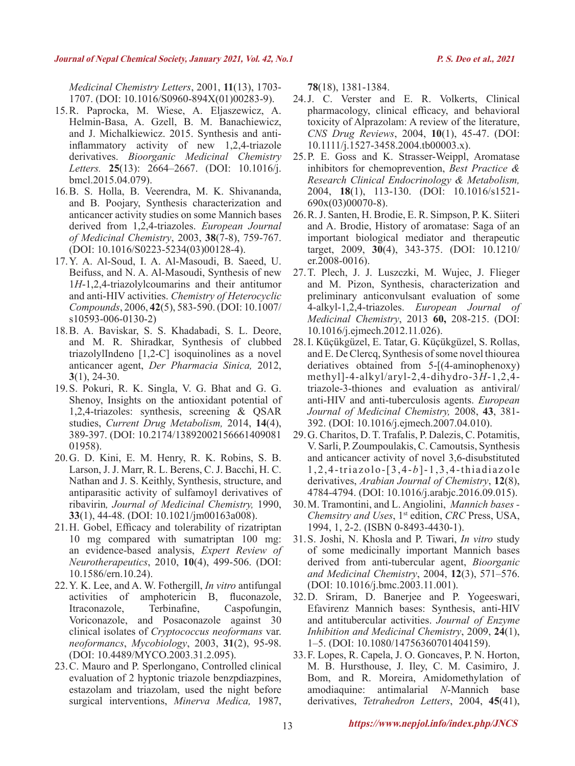*Medicinal Chemistry Letters*, 2001, **11**(13), 1703- 1707. (DOI: 10.1016/S0960-894X(01)00283-9).

- 15.R. Paprocka, M. Wiese, A. Eljaszewicz, A. Helmin-Basa, A. Gzell, B. M. Banachiewicz, and J. Michalkiewicz. 2015. Synthesis and antiinflammatory activity of new 1,2,4-triazole derivatives. *Bioorganic Medicinal Chemistry Letters.* **25**(13): 2664–2667. (DOI: 10.1016/j. bmcl.2015.04.079).
- 16.B. S. Holla, B. Veerendra, M. K. Shivananda, and B. Poojary, Synthesis characterization and anticancer activity studies on some Mannich bases derived from 1,2,4-triazoles. *European Journal of Medicinal Chemistry*, 2003, **38**(7-8), 759-767. (DOI: 10.1016/S0223-5234(03)00128-4).
- 17.Y. A. Al-Soud, I. A. Al-Masoudi, B. Saeed, U. Beifuss, and N. A. Al-Masoudi, Synthesis of new 1*H*-1,2,4-triazolylcoumarins and their antitumor and anti-HIV activities. *Chemistry of Heterocyclic Compounds*, 2006, **42**(5), 583-590. (DOI: 10.1007/ s10593-006-0130-2)
- 18.B. A. Baviskar, S. S. Khadabadi, S. L. Deore, and M. R. Shiradkar, Synthesis of clubbed triazolylIndeno [1,2-C] isoquinolines as a novel anticancer agent, *Der Pharmacia Sinica,* 2012, **3**(1), 24-30.
- 19.S. Pokuri, R. K. Singla, V. G. Bhat and G. G. Shenoy, Insights on the antioxidant potential of 1,2,4-triazoles: synthesis, screening & QSAR studies, *Current Drug Metabolism,* 2014, **14**(4), 389-397. (DOI: 10.2174/13892002156661409081 01958).
- 20.G. D. Kini, E. M. Henry, R. K. Robins, S. B. Larson, J. J. Marr, R. L. Berens, C. J. Bacchi, H. C. Nathan and J. S. Keithly, Synthesis, structure, and antiparasitic activity of sulfamoyl derivatives of ribavirin*, Journal of Medicinal Chemistry,* 1990, **33**(1), 44-48. (DOI: 10.1021/jm00163a008).
- 21.H. Gobel, Efficacy and tolerability of rizatriptan 10 mg compared with sumatriptan 100 mg: an evidence-based analysis, *Expert Review of Neurotherapeutics*, 2010, **10**(4), 499-506. (DOI: 10.1586/ern.10.24).
- 22.Y. K. Lee, and A. W. Fothergill, *In vitro* antifungal activities of amphotericin B, fluconazole, Itraconazole, Terbinafine, Caspofungin, Voriconazole, and Posaconazole against 30 clinical isolates of *Cryptococcus neoformans* var. *neoformancs*, *Mycobiology*, 2003, **31**(2), 95-98. (DOI: 10.4489/MYCO.2003.31.2.095).
- 23.C. Mauro and P. Sperlongano, Controlled clinical evaluation of 2 hyptonic triazole benzpdiazpines, estazolam and triazolam, used the night before surgical interventions, *Minerva Medica,* 1987,

**78**(18), 1381-1384.

- 24.J. C. Verster and E. R. Volkerts, Clinical pharmacology, clinical efficacy, and behavioral toxicity of Alprazolam: A review of the literature, *CNS Drug Reviews*, 2004, **10**(1), 45-47. (DOI: 10.1111/j.1527-3458.2004.tb00003.x).
- 25.P. E. Goss and K. Strasser-Weippl, Aromatase inhibitors for chemoprevention, *Best Practice & Research Clinical Endocrinology & Metabolism,* 2004, **18**(1), 113-130. (DOI: 10.1016/s1521- 690x(03)00070-8).
- 26.R. J. Santen, H. Brodie, E. R. Simpson, P. K. Siiteri and A. Brodie, History of aromatase: Saga of an important biological mediator and therapeutic target, 2009, **30**(4), 343-375. (DOI: 10.1210/ er.2008-0016).
- 27.T. Plech, J. J. Luszczki, M. Wujec, J. Flieger and M. Pizon, Synthesis, characterization and preliminary anticonvulsant evaluation of some 4-alkyl-1,2,4-triazoles. *European Journal of Medicinal Chemistry*, 2013 **60,** 208-215. (DOI: 10.1016/j.ejmech.2012.11.026).
- 28.I. Küçükgüzel, E. Tatar, G. Küçükgüzel, S. Rollas, and E. De Clercq, Synthesis of some novel thiourea deriatives obtained from 5-[(4-aminophenoxy) methyl]-4-alkyl/aryl-2,4-dihydro-3*H*-1,2,4 triazole-3-thiones and evaluation as antiviral/ anti-HIV and anti-tuberculosis agents. *European Journal of Medicinal Chemistry,* 2008, **43**, 381- 392. (DOI: 10.1016/j.ejmech.2007.04.010).
- 29.G. Charitos, D. T. Trafalis, P. Dalezis, C. Potamitis, V. Sarli, P. Zoumpoulakis, C. Camoutsis, Synthesis and anticancer activity of novel 3,6-disubstituted 1,2,4-triazolo-[3,4-*b*]-1,3,4-thiadiazole derivatives, *Arabian Journal of Chemistry*, **12**(8), 4784-4794. (DOI: 10.1016/j.arabjc.2016.09.015).
- 30.M. Tramontini, and L. Angiolini, *Mannich bases Chemsitry and Uses*, 1<sup>st</sup> edition, *CRC* Press, USA, 1994, 1, 2-2. (ISBN 0-8493-4430-1).
- 31.S. Joshi, N. Khosla and P. Tiwari, *In vitro* study of some medicinally important Mannich bases derived from anti-tubercular agent, *Bioorganic and Medicinal Chemistry*, 2004, **12**(3), 571–576. (DOI: 10.1016/j.bmc.2003.11.001).
- 32.D. Sriram, D. Banerjee and P. Yogeeswari, Efavirenz Mannich bases: Synthesis, anti-HIV and antitubercular activities. *Journal of Enzyme Inhibition and Medicinal Chemistry*, 2009, **24**(1), 1–5. (DOI: 10.1080/14756360701404159).
- 33.F. Lopes, R. Capela, J. O. Goncaves, P. N. Horton, M. B. Hursthouse, J. Iley, C. M. Casimiro, J. Bom, and R. Moreira, Amidomethylation of amodiaquine: antimalarial *N*-Mannich base derivatives, *Tetrahedron Letters*, 2004, **45**(41),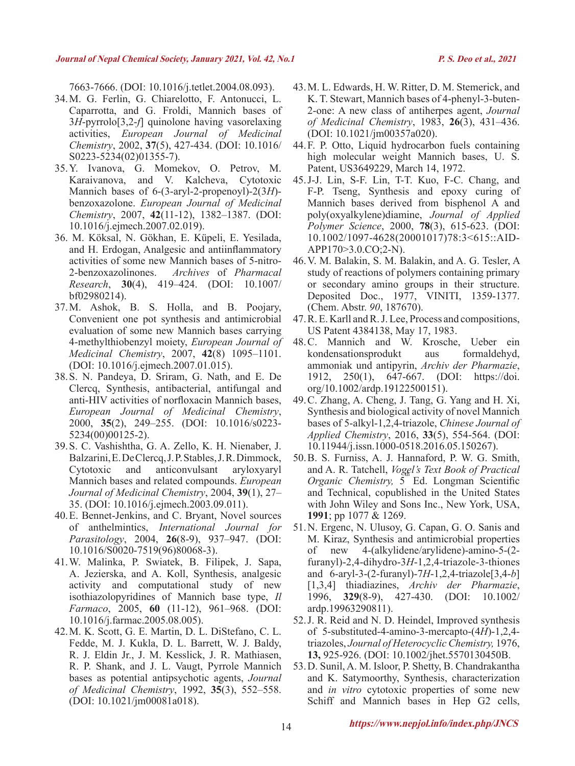7663-7666. (DOI: 10.1016/j.tetlet.2004.08.093).

- 34.M. G. Ferlin, G. Chiarelotto, F. Antonucci, L. Caparrotta, and G. Froldi, Mannich bases of 3*H*-pyrrolo[3,2-*f*] quinolone having vasorelaxing activities, *European Journal of Medicinal Chemistry*, 2002, **37**(5), 427-434. (DOI: 10.1016/ S0223-5234(02)01355-7).
- 35.Y. Ivanova, G. Momekov, O. Petrov, M. Karaivanova, and V. Kalcheva, Cytotoxic Mannich bases of 6-(3-aryl-2-propenoyl)-2(3*H*) benzoxazolone. *European Journal of Medicinal Chemistry*, 2007, **42**(11-12), 1382–1387. (DOI: 10.1016/j.ejmech.2007.02.019).
- 36. M. Köksal, N. Gökhan, E. Küpeli, E. Yesilada, and H. Erdogan, Analgesic and antiinflammatory activities of some new Mannich bases of 5-nitro-2-benzoxazolinones. *Archives* of *Pharmacal Research*, **30**(4), 419–424. (DOI: 10.1007/ bf02980214).
- 37.M. Ashok, B. S. Holla, and B. Poojary, Convenient one pot synthesis and antimicrobial evaluation of some new Mannich bases carrying 4-methylthiobenzyl moiety, *European Journal of Medicinal Chemistry*, 2007, **42**(8) 1095–1101. (DOI: 10.1016/j.ejmech.2007.01.015).
- 38.S. N. Pandeya, D. Sriram, G. Nath, and E. De Clercq, Synthesis, antibacterial, antifungal and anti-HIV activities of norfloxacin Mannich bases, *European Journal of Medicinal Chemistry*, 2000, **35**(2), 249–255. (DOI: 10.1016/s0223- 5234(00)00125-2).
- 39.S. C. Vashishtha, G. A. Zello, K. H. Nienaber, J. Balzarini, E. De Clercq, J. P. Stables, J. R. Dimmock, Cytotoxic and anticonvulsant aryloxyaryl Mannich bases and related compounds. *European Journal of Medicinal Chemistry*, 2004, **39**(1), 27– 35. (DOI: 10.1016/j.ejmech.2003.09.011).
- 40.E. Bennet-Jenkins, and C. Bryant, Novel sources of anthelmintics, *International Journal for Parasitology*, 2004, **26**(8-9), 937–947. (DOI: 10.1016/S0020-7519(96)80068-3).
- 41.W. Malinka, P. Swiatek, B. Filipek, J. Sapa, A. Jezierska, and A. Koll, Synthesis, analgesic activity and computational study of new isothiazolopyridines of Mannich base type, *Il Farmaco*, 2005, **60** (11-12), 961–968. (DOI: 10.1016/j.farmac.2005.08.005).
- 42.M. K. Scott, G. E. Martin, D. L. DiStefano, C. L. Fedde, M. J. Kukla, D. L. Barrett, W. J. Baldy, R. J. Eldin Jr., J. M. Kesslick, J. R. Mathiasen, R. P. Shank, and J. L. Vaugt, Pyrrole Mannich bases as potential antipsychotic agents, *Journal of Medicinal Chemistry*, 1992, **35**(3), 552–558. (DOI: 10.1021/jm00081a018).
- 43.M. L. Edwards, H. W. Ritter, D. M. Stemerick, and K. T. Stewart, Mannich bases of 4-phenyl-3-buten-2-one: A new class of antiherpes agent, *Journal of Medicinal Chemistry*, 1983, **26**(3), 431–436. (DOI: 10.1021/jm00357a020).
- 44.F. P. Otto, Liquid hydrocarbon fuels containing high molecular weight Mannich bases, U. S. Patent, US3649229, March 14, 1972.
- 45.J-J. Lin, S-F. Lin, T-T. Kuo, F-C. Chang, and F-P. Tseng, Synthesis and epoxy curing of Mannich bases derived from bisphenol A and poly(oxyalkylene)diamine, *Journal of Applied Polymer Science*, 2000, **78**(3), 615-623. (DOI: 10.1002/1097-4628(20001017)78:3<615::AID-APP170>3.0.CO;2-N).
- 46.V. M. Balakin, S. M. Balakin, and A. G. Tesler, A study of reactions of polymers containing primary or secondary amino groups in their structure. Deposited Doc., 1977, VINITI, 1359-1377. (Chem. Abstr. *90*, 187670).
- 47.R. E. Karll and R. J. Lee, Process and compositions, US Patent 4384138, May 17, 1983.
- 48.C. Mannich and W. Krosche, Ueber ein kondensationsprodukt aus formaldehyd, ammoniak und antipyrin, *Archiv der Pharmazie*, 1912, 250(1), 647-667. (DOI: https://doi. org/10.1002/ardp.19122500151).
- 49.C. Zhang, A. Cheng, J. Tang, G. Yang and H. Xi, Synthesis and biological activity of novel Mannich bases of 5-alkyl-1,2,4-triazole, *Chinese Journal of Applied Chemistry*, 2016, **33**(5), 554-564. (DOI: 10.11944/j.issn.1000-0518.2016.05.150267).
- 50.B. S. Furniss, A. J. Hannaford, P. W. G. Smith, and A. R. Tatchell, *Vogel's Text Book of Practical*  th *Organic Chemistry,* 5 Ed. Longman Scientific and Technical, copublished in the United States with John Wiley and Sons Inc., New York, USA, **1991**; pp 1077 & 1269.
- 51.N. Ergenc, N. Ulusoy, G. Capan, G. O. Sanis and M. Kiraz, Synthesis and antimicrobial properties of new 4-(alkylidene/arylidene)-amino-5-(2 furanyl)-2,4-dihydro-3*H*-1,2,4-triazole-3-thiones and 6-aryl-3-(2-furanyl)-7*H*-1,2,4-triazole[3,4-*b*] [1,3,4] thiadiazines, *Archiv der Pharmazie*, 1996, **329**(8-9), 427-430. (DOI: 10.1002/ ardp.19963290811).
- 52.J. R. Reid and N. D. Heindel, Improved synthesis of 5-substituted-4-amino-3-mercapto-(4*H*)-1,2,4 triazoles, *Journal of Heterocyclic Chemistry,* 1976, **13,** 925-926. (DOI: 10.1002/jhet.5570130450B.
- 53.D. Sunil, A. M. Isloor, P. Shetty, B. Chandrakantha and K. Satymoorthy, Synthesis, characterization and *in vitro* cytotoxic properties of some new Schiff and Mannich bases in Hep G2 cells,